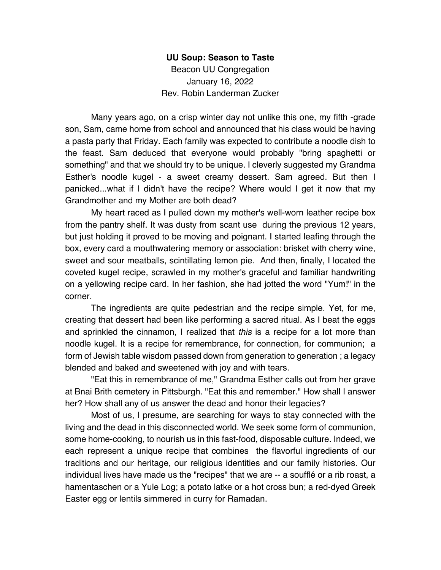## **UU Soup: Season to Taste**

Beacon UU Congregation January 16, 2022 Rev. Robin Landerman Zucker

Many years ago, on a crisp winter day not unlike this one, my fifth -grade son, Sam, came home from school and announced that his class would be having a pasta party that Friday. Each family was expected to contribute a noodle dish to the feast. Sam deduced that everyone would probably "bring spaghetti or something" and that we should try to be unique. I cleverly suggested my Grandma Esther's noodle kugel - a sweet creamy dessert. Sam agreed. But then I panicked...what if I didn't have the recipe? Where would I get it now that my Grandmother and my Mother are both dead?

My heart raced as I pulled down my mother's well-worn leather recipe box from the pantry shelf. It was dusty from scant use during the previous 12 years, but just holding it proved to be moving and poignant. I started leafing through the box, every card a mouthwatering memory or association: brisket with cherry wine, sweet and sour meatballs, scintillating lemon pie. And then, finally, I located the coveted kugel recipe, scrawled in my mother's graceful and familiar handwriting on a yellowing recipe card. In her fashion, she had jotted the word "Yum!" in the corner.

The ingredients are quite pedestrian and the recipe simple. Yet, for me, creating that dessert had been like performing a sacred ritual. As I beat the eggs and sprinkled the cinnamon, I realized that *this* is a recipe for a lot more than noodle kugel. It is a recipe for remembrance, for connection, for communion; a form of Jewish table wisdom passed down from generation to generation ; a legacy blended and baked and sweetened with joy and with tears.

"Eat this in remembrance of me," Grandma Esther calls out from her grave at Bnai Brith cemetery in Pittsburgh. "Eat this and remember." How shall I answer her? How shall any of us answer the dead and honor their legacies?

Most of us, I presume, are searching for ways to stay connected with the living and the dead in this disconnected world. We seek some form of communion, some home-cooking, to nourish us in this fast-food, disposable culture. Indeed, we each represent a unique recipe that combines the flavorful ingredients of our traditions and our heritage, our religious identities and our family histories. Our individual lives have made us the "recipes" that we are -- a soufflé or a rib roast, a hamentaschen or a Yule Log; a potato latke or a hot cross bun; a red-dyed Greek Easter egg or lentils simmered in curry for Ramadan.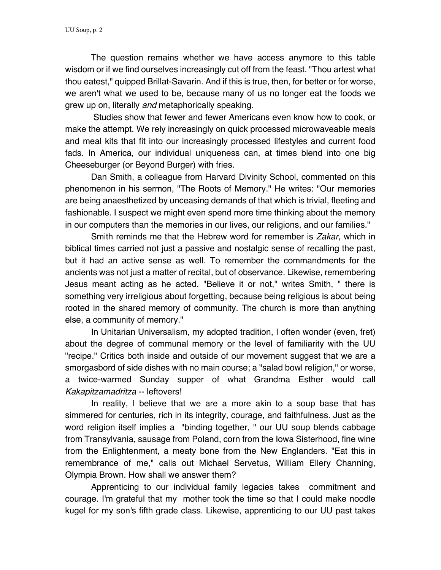The question remains whether we have access anymore to this table wisdom or if we find ourselves increasingly cut off from the feast. "Thou artest what thou eatest," quipped Brillat-Savarin. And if this is true, then, for better or for worse, we aren't what we used to be, because many of us no longer eat the foods we grew up on, literally *and* metaphorically speaking.

Studies show that fewer and fewer Americans even know how to cook, or make the attempt. We rely increasingly on quick processed microwaveable meals and meal kits that fit into our increasingly processed lifestyles and current food fads. In America, our individual uniqueness can, at times blend into one big Cheeseburger (or Beyond Burger) with fries.

Dan Smith, a colleague from Harvard Divinity School, commented on this phenomenon in his sermon, "The Roots of Memory." He writes: "Our memories are being anaesthetized by unceasing demands of that which is trivial, fleeting and fashionable. I suspect we might even spend more time thinking about the memory in our computers than the memories in our lives, our religions, and our families."

Smith reminds me that the Hebrew word for remember is *Zakar*, which in biblical times carried not just a passive and nostalgic sense of recalling the past, but it had an active sense as well. To remember the commandments for the ancients was not just a matter of recital, but of observance. Likewise, remembering Jesus meant acting as he acted. "Believe it or not," writes Smith, " there is something very irreligious about forgetting, because being religious is about being rooted in the shared memory of community. The church is more than anything else, a community of memory."

In Unitarian Universalism, my adopted tradition, I often wonder (even, fret) about the degree of communal memory or the level of familiarity with the UU "recipe." Critics both inside and outside of our movement suggest that we are a smorgasbord of side dishes with no main course; a "salad bowl religion," or worse, a twice-warmed Sunday supper of what Grandma Esther would call *Kakapitzamadritza* -- leftovers!

In reality, I believe that we are a more akin to a soup base that has simmered for centuries, rich in its integrity, courage, and faithfulness. Just as the word religion itself implies a "binding together, " our UU soup blends cabbage from Transylvania, sausage from Poland, corn from the Iowa Sisterhood, fine wine from the Enlightenment, a meaty bone from the New Englanders. "Eat this in remembrance of me," calls out Michael Servetus, William Ellery Channing, Olympia Brown. How shall we answer them?

Apprenticing to our individual family legacies takes commitment and courage. I'm grateful that my mother took the time so that I could make noodle kugel for my son's fifth grade class. Likewise, apprenticing to our UU past takes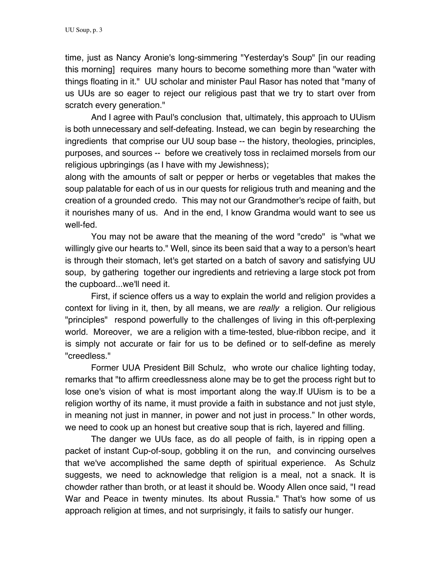time, just as Nancy Aronie's long-simmering "Yesterday's Soup" [in our reading this morning] requires many hours to become something more than "water with things floating in it." UU scholar and minister Paul Rasor has noted that "many of us UUs are so eager to reject our religious past that we try to start over from scratch every generation."

And I agree with Paul's conclusion that, ultimately, this approach to UUism is both unnecessary and self-defeating. Instead, we can begin by researching the ingredients that comprise our UU soup base -- the history, theologies, principles, purposes, and sources -- before we creatively toss in reclaimed morsels from our religious upbringings (as I have with my Jewishness);

along with the amounts of salt or pepper or herbs or vegetables that makes the soup palatable for each of us in our quests for religious truth and meaning and the creation of a grounded credo. This may not our Grandmother's recipe of faith, but it nourishes many of us. And in the end, I know Grandma would want to see us well-fed.

You may not be aware that the meaning of the word "credo" is "what we willingly give our hearts to." Well, since its been said that a way to a person's heart is through their stomach, let's get started on a batch of savory and satisfying UU soup, by gathering together our ingredients and retrieving a large stock pot from the cupboard...we'll need it.

First, if science offers us a way to explain the world and religion provides a context for living in it, then, by all means, we are *really* a religion. Our religious "principles" respond powerfully to the challenges of living in this oft-perplexing world. Moreover, we are a religion with a time-tested, blue-ribbon recipe, and it is simply not accurate or fair for us to be defined or to self-define as merely "creedless."

Former UUA President Bill Schulz, who wrote our chalice lighting today, remarks that "to affirm creedlessness alone may be to get the process right but to lose one's vision of what is most important along the way.If UUism is to be a religion worthy of its name, it must provide a faith in substance and not just style, in meaning not just in manner, in power and not just in process." In other words, we need to cook up an honest but creative soup that is rich, layered and filling.

The danger we UUs face, as do all people of faith, is in ripping open a packet of instant Cup-of-soup, gobbling it on the run, and convincing ourselves that we've accomplished the same depth of spiritual experience. As Schulz suggests, we need to acknowledge that religion is a meal, not a snack. It is chowder rather than broth, or at least it should be. Woody Allen once said, "I read War and Peace in twenty minutes. Its about Russia." That's how some of us approach religion at times, and not surprisingly, it fails to satisfy our hunger.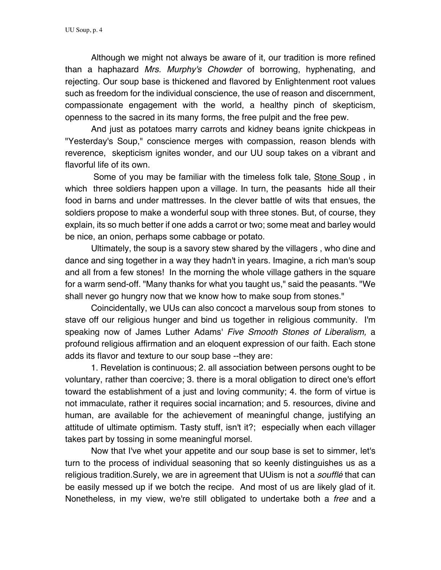Although we might not always be aware of it, our tradition is more refined than a haphazard *Mrs. Murphy's Chowder* of borrowing, hyphenating, and rejecting. Our soup base is thickened and flavored by Enlightenment root values such as freedom for the individual conscience, the use of reason and discernment, compassionate engagement with the world, a healthy pinch of skepticism, openness to the sacred in its many forms, the free pulpit and the free pew.

And just as potatoes marry carrots and kidney beans ignite chickpeas in "Yesterday's Soup," conscience merges with compassion, reason blends with reverence, skepticism ignites wonder, and our UU soup takes on a vibrant and flavorful life of its own.

Some of you may be familiar with the timeless folk tale, Stone Soup , in which three soldiers happen upon a village. In turn, the peasants hide all their food in barns and under mattresses. In the clever battle of wits that ensues, the soldiers propose to make a wonderful soup with three stones. But, of course, they explain, its so much better if one adds a carrot or two; some meat and barley would be nice, an onion, perhaps some cabbage or potato.

Ultimately, the soup is a savory stew shared by the villagers , who dine and dance and sing together in a way they hadn't in years. Imagine, a rich man's soup and all from a few stones! In the morning the whole village gathers in the square for a warm send-off. "Many thanks for what you taught us," said the peasants. "We shall never go hungry now that we know how to make soup from stones."

Coincidentally, we UUs can also concoct a marvelous soup from stones to stave off our religious hunger and bind us together in religious community. I'm speaking now of James Luther Adams' *Five Smooth Stones of Liberalism,* a profound religious affirmation and an eloquent expression of our faith. Each stone adds its flavor and texture to our soup base --they are:

1. Revelation is continuous; 2. all association between persons ought to be voluntary, rather than coercive; 3. there is a moral obligation to direct one's effort toward the establishment of a just and loving community; 4. the form of virtue is not immaculate, rather it requires social incarnation; and 5. resources, divine and human, are available for the achievement of meaningful change, justifying an attitude of ultimate optimism. Tasty stuff, isn't it?; especially when each villager takes part by tossing in some meaningful morsel.

Now that I've whet your appetite and our soup base is set to simmer, let's turn to the process of individual seasoning that so keenly distinguishes us as a religious tradition.Surely, we are in agreement that UUism is not a *soufflé* that can be easily messed up if we botch the recipe. And most of us are likely glad of it. Nonetheless, in my view, we're still obligated to undertake both a *free* and a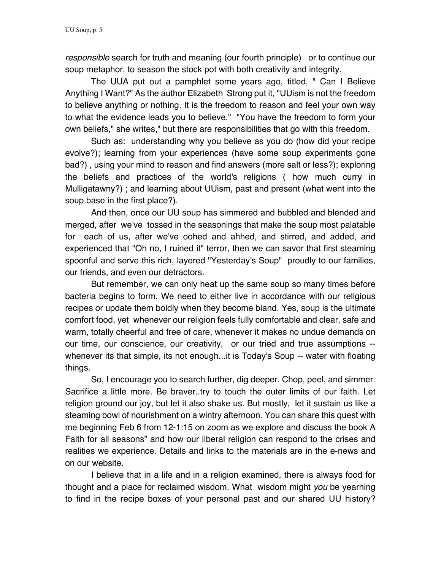*responsible* search for truth and meaning (our fourth principle) or to continue our soup metaphor, to season the stock pot with both creativity and integrity.

The UUA put out a pamphlet some years ago, titled, " Can I Believe Anything I Want?" As the author Elizabeth Strong put it, "UUism is not the freedom to believe anything or nothing. It is the freedom to reason and feel your own way to what the evidence leads you to believe." "You have the freedom to form your own beliefs," she writes," but there are responsibilities that go with this freedom.

Such as: understanding why you believe as you do (how did your recipe evolve?); learning from your experiences (have some soup experiments gone bad?) , using your mind to reason and find answers (more salt or less?); exploring the beliefs and practices of the world's religions ( how much curry in Mulligatawny?) ; and learning about UUism, past and present (what went into the soup base in the first place?).

And then, once our UU soup has simmered and bubbled and blended and merged, after we've tossed in the seasonings that make the soup most palatable for each of us, after we've oohed and ahhed, and stirred, and added, and experienced that "Oh no, I ruined it" terror, then we can savor that first steaming spoonful and serve this rich, layered "Yesterday's Soup" proudly to our families, our friends, and even our detractors.

But remember, we can only heat up the same soup so many times before bacteria begins to form. We need to either live in accordance with our religious recipes or update them boldly when they become bland. Yes, soup is the ultimate comfort food, yet whenever our religion feels fully comfortable and clear, safe and warm, totally cheerful and free of care, whenever it makes no undue demands on our time, our conscience, our creativity, or our tried and true assumptions - whenever its that simple, its not enough...it is Today's Soup -- water with floating things.

So, I encourage you to search further, dig deeper. Chop, peel, and simmer. Sacrifice a little more. Be braver..try to touch the outer limits of our faith. Let religion ground our joy, but let it also shake us. But mostly, let it sustain us like a steaming bowl of nourishment on a wintry afternoon. You can share this quest with me beginning Feb 6 from 12-1:15 on zoom as we explore and discuss the book A Faith for all seasons" and how our liberal religion can respond to the crises and realities we experience. Details and links to the materials are in the e-news and on our website.

I believe that in a life and in a religion examined, there is always food for thought and a place for reclaimed wisdom. What wisdom might *you* be yearning to find in the recipe boxes of your personal past and our shared UU history?